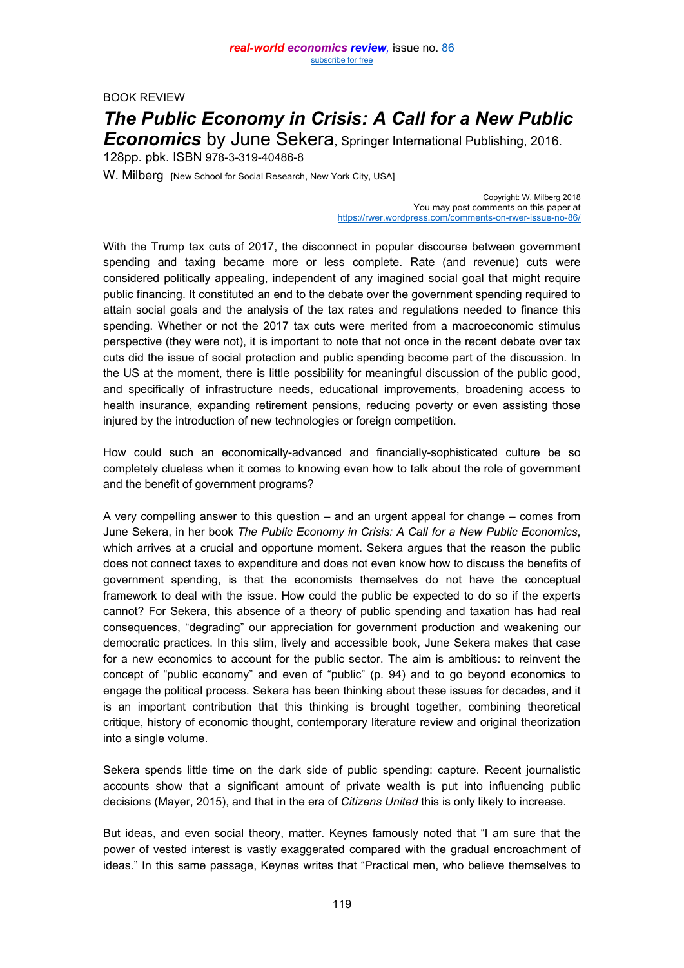## BOOK REVIEW

# *The Public Economy in Crisis: A Call for a New Public*

*Economics* by June Sekera, Springer International Publishing, 2016. 128pp. pbk. ISBN 978-3-319-40486-8

W. Milberg [New School for Social Research, New York City, USA]

Copyright: W. Milberg 2018 You may post comments on this paper at <https://rwer.wordpress.com/comments-on-rwer-issue-no-86/>

With the Trump tax cuts of 2017, the disconnect in popular discourse between government spending and taxing became more or less complete. Rate (and revenue) cuts were considered politically appealing, independent of any imagined social goal that might require public financing. It constituted an end to the debate over the government spending required to attain social goals and the analysis of the tax rates and regulations needed to finance this spending. Whether or not the 2017 tax cuts were merited from a macroeconomic stimulus perspective (they were not), it is important to note that not once in the recent debate over tax cuts did the issue of social protection and public spending become part of the discussion. In the US at the moment, there is little possibility for meaningful discussion of the public good, and specifically of infrastructure needs, educational improvements, broadening access to health insurance, expanding retirement pensions, reducing poverty or even assisting those injured by the introduction of new technologies or foreign competition.

How could such an economically-advanced and financially-sophisticated culture be so completely clueless when it comes to knowing even how to talk about the role of government and the benefit of government programs?

A very compelling answer to this question – and an urgent appeal for change – comes from June Sekera, in her book *The Public Economy in Crisis: A Call for a New Public Economics*, which arrives at a crucial and opportune moment. Sekera argues that the reason the public does not connect taxes to expenditure and does not even know how to discuss the benefits of government spending, is that the economists themselves do not have the conceptual framework to deal with the issue. How could the public be expected to do so if the experts cannot? For Sekera, this absence of a theory of public spending and taxation has had real consequences, "degrading" our appreciation for government production and weakening our democratic practices. In this slim, lively and accessible book, June Sekera makes that case for a new economics to account for the public sector. The aim is ambitious: to reinvent the concept of "public economy" and even of "public" (p. 94) and to go beyond economics to engage the political process. Sekera has been thinking about these issues for decades, and it is an important contribution that this thinking is brought together, combining theoretical critique, history of economic thought, contemporary literature review and original theorization into a single volume.

Sekera spends little time on the dark side of public spending: capture. Recent journalistic accounts show that a significant amount of private wealth is put into influencing public decisions (Mayer, 2015), and that in the era of *Citizens United* this is only likely to increase.

But ideas, and even social theory, matter. Keynes famously noted that "I am sure that the power of vested interest is vastly exaggerated compared with the gradual encroachment of ideas." In this same passage, Keynes writes that "Practical men, who believe themselves to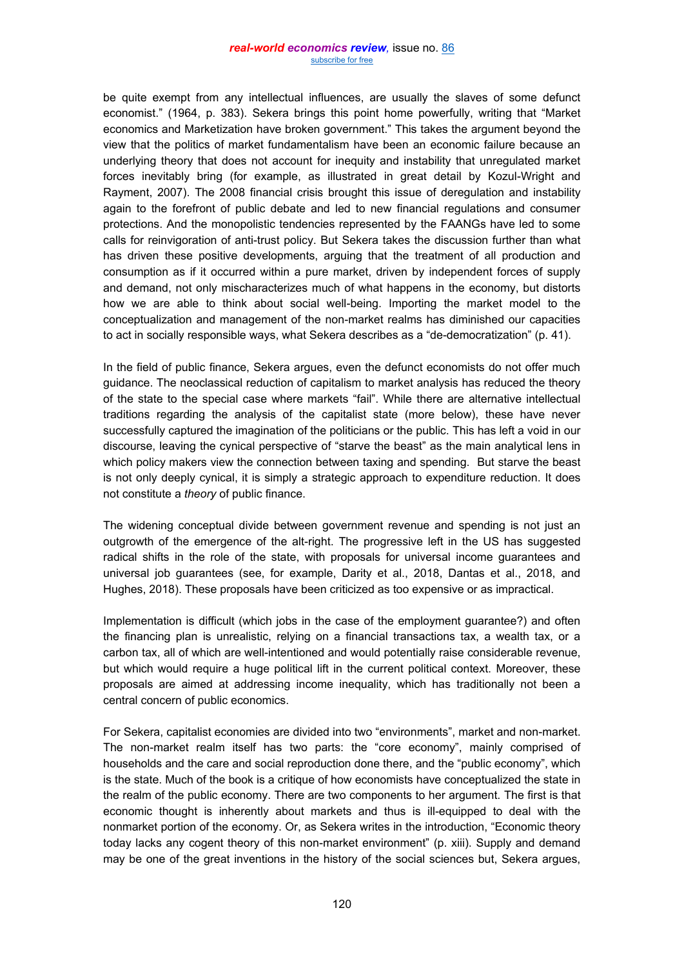#### *real-world economics review,* issue no. [86](http://www.paecon.net/PAEReview/issue86/whole86.pdf) [subscribe for free](http://www.feedblitz.com/f/f.fbz?Sub=332386)

be quite exempt from any intellectual influences, are usually the slaves of some defunct economist." (1964, p. 383). Sekera brings this point home powerfully, writing that "Market economics and Marketization have broken government." This takes the argument beyond the view that the politics of market fundamentalism have been an economic failure because an underlying theory that does not account for inequity and instability that unregulated market forces inevitably bring (for example, as illustrated in great detail by Kozul-Wright and Rayment, 2007). The 2008 financial crisis brought this issue of deregulation and instability again to the forefront of public debate and led to new financial regulations and consumer protections. And the monopolistic tendencies represented by the FAANGs have led to some calls for reinvigoration of anti-trust policy. But Sekera takes the discussion further than what has driven these positive developments, arguing that the treatment of all production and consumption as if it occurred within a pure market, driven by independent forces of supply and demand, not only mischaracterizes much of what happens in the economy, but distorts how we are able to think about social well-being. Importing the market model to the conceptualization and management of the non-market realms has diminished our capacities to act in socially responsible ways, what Sekera describes as a "de-democratization" (p. 41).

In the field of public finance, Sekera argues, even the defunct economists do not offer much guidance. The neoclassical reduction of capitalism to market analysis has reduced the theory of the state to the special case where markets "fail". While there are alternative intellectual traditions regarding the analysis of the capitalist state (more below), these have never successfully captured the imagination of the politicians or the public. This has left a void in our discourse, leaving the cynical perspective of "starve the beast" as the main analytical lens in which policy makers view the connection between taxing and spending. But starve the beast is not only deeply cynical, it is simply a strategic approach to expenditure reduction. It does not constitute a *theory* of public finance.

The widening conceptual divide between government revenue and spending is not just an outgrowth of the emergence of the alt-right. The progressive left in the US has suggested radical shifts in the role of the state, with proposals for universal income guarantees and universal job guarantees (see, for example, Darity et al., 2018, Dantas et al., 2018, and Hughes, 2018). These proposals have been criticized as too expensive or as impractical.

Implementation is difficult (which jobs in the case of the employment guarantee?) and often the financing plan is unrealistic, relying on a financial transactions tax, a wealth tax, or a carbon tax, all of which are well-intentioned and would potentially raise considerable revenue, but which would require a huge political lift in the current political context. Moreover, these proposals are aimed at addressing income inequality, which has traditionally not been a central concern of public economics.

For Sekera, capitalist economies are divided into two "environments", market and non-market. The non-market realm itself has two parts: the "core economy", mainly comprised of households and the care and social reproduction done there, and the "public economy", which is the state. Much of the book is a critique of how economists have conceptualized the state in the realm of the public economy. There are two components to her argument. The first is that economic thought is inherently about markets and thus is ill-equipped to deal with the nonmarket portion of the economy. Or, as Sekera writes in the introduction, "Economic theory today lacks any cogent theory of this non-market environment" (p. xiii). Supply and demand may be one of the great inventions in the history of the social sciences but, Sekera argues,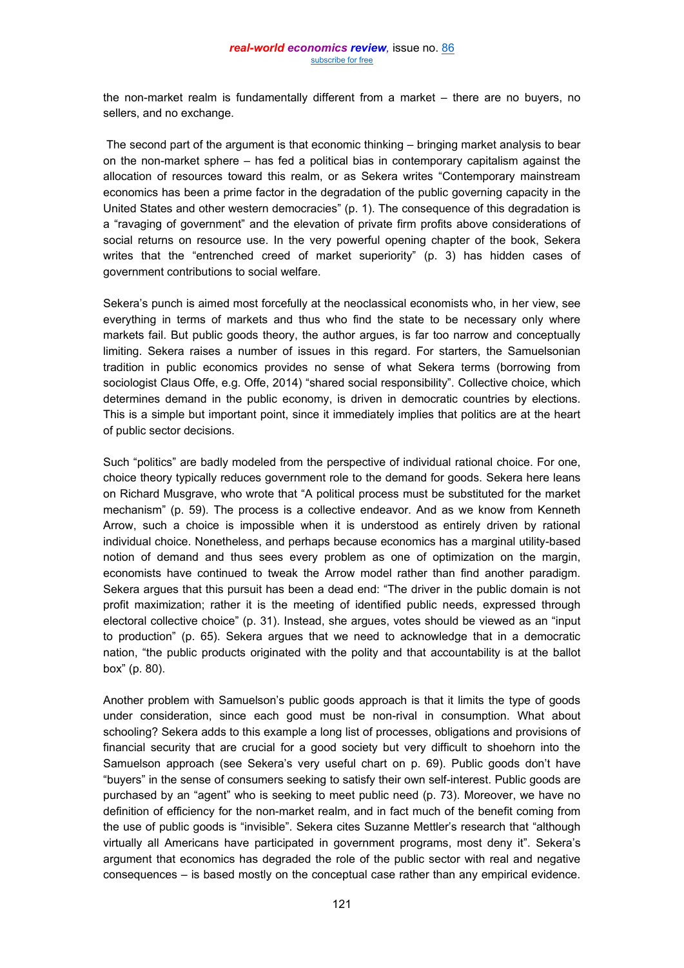the non-market realm is fundamentally different from a market – there are no buyers, no sellers, and no exchange.

The second part of the argument is that economic thinking – bringing market analysis to bear on the non-market sphere – has fed a political bias in contemporary capitalism against the allocation of resources toward this realm, or as Sekera writes "Contemporary mainstream economics has been a prime factor in the degradation of the public governing capacity in the United States and other western democracies" (p. 1). The consequence of this degradation is a "ravaging of government" and the elevation of private firm profits above considerations of social returns on resource use. In the very powerful opening chapter of the book, Sekera writes that the "entrenched creed of market superiority" (p. 3) has hidden cases of government contributions to social welfare.

Sekera's punch is aimed most forcefully at the neoclassical economists who, in her view, see everything in terms of markets and thus who find the state to be necessary only where markets fail. But public goods theory, the author argues, is far too narrow and conceptually limiting. Sekera raises a number of issues in this regard. For starters, the Samuelsonian tradition in public economics provides no sense of what Sekera terms (borrowing from sociologist Claus Offe, e.g. Offe, 2014) "shared social responsibility". Collective choice, which determines demand in the public economy, is driven in democratic countries by elections. This is a simple but important point, since it immediately implies that politics are at the heart of public sector decisions.

Such "politics" are badly modeled from the perspective of individual rational choice. For one, choice theory typically reduces government role to the demand for goods. Sekera here leans on Richard Musgrave, who wrote that "A political process must be substituted for the market mechanism" (p. 59). The process is a collective endeavor. And as we know from Kenneth Arrow, such a choice is impossible when it is understood as entirely driven by rational individual choice. Nonetheless, and perhaps because economics has a marginal utility-based notion of demand and thus sees every problem as one of optimization on the margin, economists have continued to tweak the Arrow model rather than find another paradigm. Sekera argues that this pursuit has been a dead end: "The driver in the public domain is not profit maximization; rather it is the meeting of identified public needs, expressed through electoral collective choice" (p. 31). Instead, she argues, votes should be viewed as an "input to production" (p. 65). Sekera argues that we need to acknowledge that in a democratic nation, "the public products originated with the polity and that accountability is at the ballot box" (p. 80).

Another problem with Samuelson's public goods approach is that it limits the type of goods under consideration, since each good must be non-rival in consumption. What about schooling? Sekera adds to this example a long list of processes, obligations and provisions of financial security that are crucial for a good society but very difficult to shoehorn into the Samuelson approach (see Sekera's very useful chart on p. 69). Public goods don't have "buyers" in the sense of consumers seeking to satisfy their own self-interest. Public goods are purchased by an "agent" who is seeking to meet public need (p. 73). Moreover, we have no definition of efficiency for the non-market realm, and in fact much of the benefit coming from the use of public goods is "invisible". Sekera cites Suzanne Mettler's research that "although virtually all Americans have participated in government programs, most deny it". Sekera's argument that economics has degraded the role of the public sector with real and negative consequences – is based mostly on the conceptual case rather than any empirical evidence.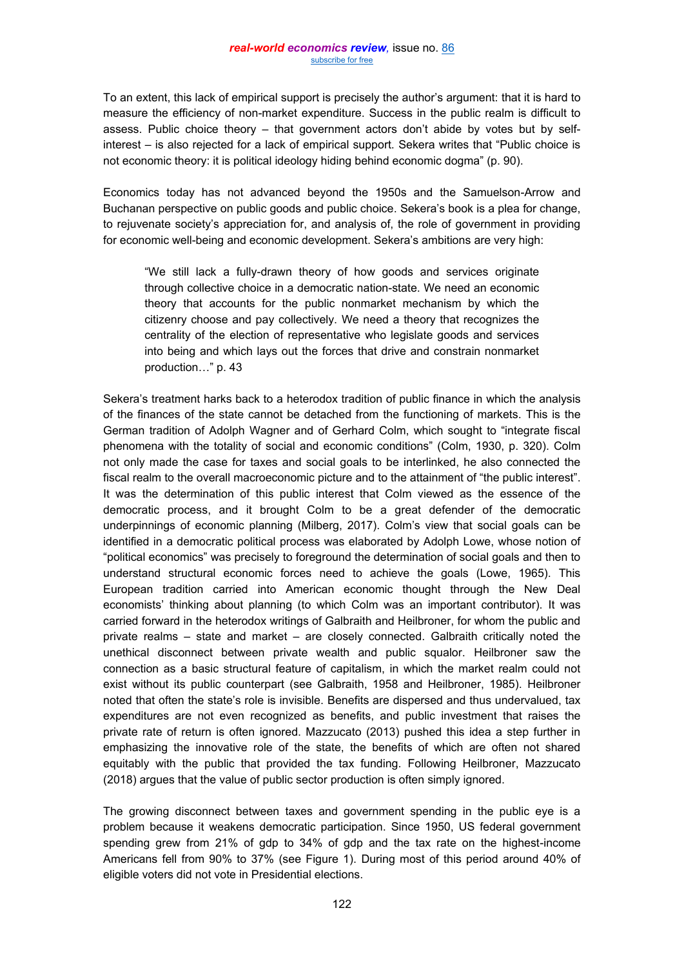To an extent, this lack of empirical support is precisely the author's argument: that it is hard to measure the efficiency of non-market expenditure. Success in the public realm is difficult to assess. Public choice theory – that government actors don't abide by votes but by selfinterest – is also rejected for a lack of empirical support. Sekera writes that "Public choice is not economic theory: it is political ideology hiding behind economic dogma" (p. 90).

Economics today has not advanced beyond the 1950s and the Samuelson-Arrow and Buchanan perspective on public goods and public choice. Sekera's book is a plea for change, to rejuvenate society's appreciation for, and analysis of, the role of government in providing for economic well-being and economic development. Sekera's ambitions are very high:

"We still lack a fully-drawn theory of how goods and services originate through collective choice in a democratic nation-state. We need an economic theory that accounts for the public nonmarket mechanism by which the citizenry choose and pay collectively. We need a theory that recognizes the centrality of the election of representative who legislate goods and services into being and which lays out the forces that drive and constrain nonmarket production…" p. 43

Sekera's treatment harks back to a heterodox tradition of public finance in which the analysis of the finances of the state cannot be detached from the functioning of markets. This is the German tradition of Adolph Wagner and of Gerhard Colm, which sought to "integrate fiscal phenomena with the totality of social and economic conditions" (Colm, 1930, p. 320). Colm not only made the case for taxes and social goals to be interlinked, he also connected the fiscal realm to the overall macroeconomic picture and to the attainment of "the public interest". It was the determination of this public interest that Colm viewed as the essence of the democratic process, and it brought Colm to be a great defender of the democratic underpinnings of economic planning (Milberg, 2017). Colm's view that social goals can be identified in a democratic political process was elaborated by Adolph Lowe, whose notion of "political economics" was precisely to foreground the determination of social goals and then to understand structural economic forces need to achieve the goals (Lowe, 1965). This European tradition carried into American economic thought through the New Deal economists' thinking about planning (to which Colm was an important contributor). It was carried forward in the heterodox writings of Galbraith and Heilbroner, for whom the public and private realms – state and market – are closely connected. Galbraith critically noted the unethical disconnect between private wealth and public squalor. Heilbroner saw the connection as a basic structural feature of capitalism, in which the market realm could not exist without its public counterpart (see Galbraith, 1958 and Heilbroner, 1985). Heilbroner noted that often the state's role is invisible. Benefits are dispersed and thus undervalued, tax expenditures are not even recognized as benefits, and public investment that raises the private rate of return is often ignored. Mazzucato (2013) pushed this idea a step further in emphasizing the innovative role of the state, the benefits of which are often not shared equitably with the public that provided the tax funding. Following Heilbroner, Mazzucato (2018) argues that the value of public sector production is often simply ignored.

The growing disconnect between taxes and government spending in the public eye is a problem because it weakens democratic participation. Since 1950, US federal government spending grew from 21% of gdp to 34% of gdp and the tax rate on the highest-income Americans fell from 90% to 37% (see Figure 1). During most of this period around 40% of eligible voters did not vote in Presidential elections.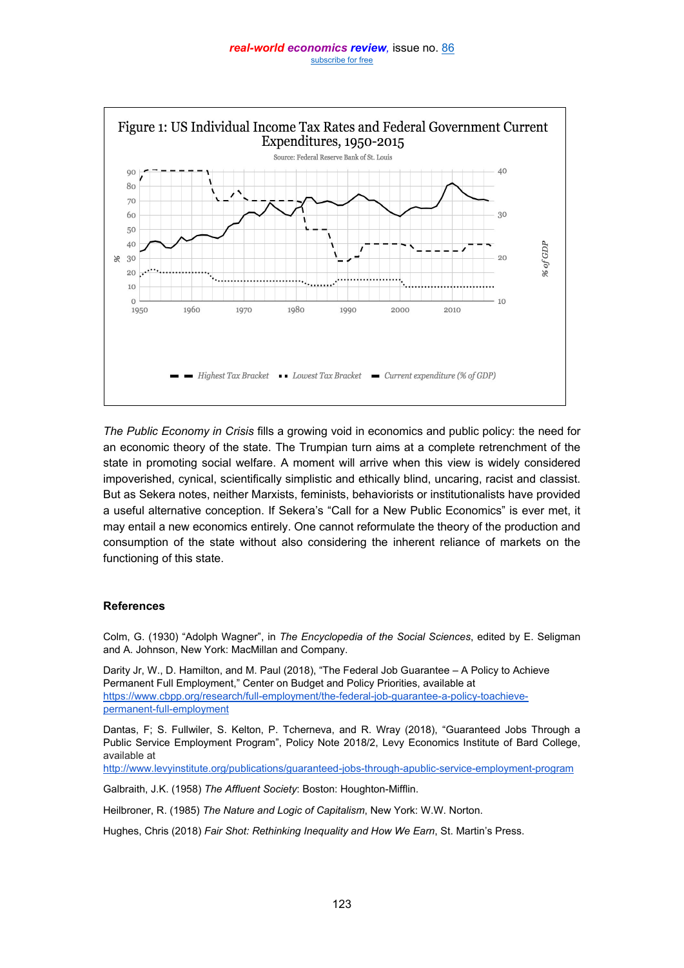

*The Public Economy in Crisis* fills a growing void in economics and public policy: the need for an economic theory of the state. The Trumpian turn aims at a complete retrenchment of the state in promoting social welfare. A moment will arrive when this view is widely considered impoverished, cynical, scientifically simplistic and ethically blind, uncaring, racist and classist. But as Sekera notes, neither Marxists, feminists, behaviorists or institutionalists have provided a useful alternative conception. If Sekera's "Call for a New Public Economics" is ever met, it may entail a new economics entirely. One cannot reformulate the theory of the production and consumption of the state without also considering the inherent reliance of markets on the functioning of this state.

### **References**

Colm, G. (1930) "Adolph Wagner", in *The Encyclopedia of the Social Sciences*, edited by E. Seligman and A. Johnson, New York: MacMillan and Company.

Darity Jr, W., D. Hamilton, and M. Paul (2018), "The Federal Job Guarantee – A Policy to Achieve Permanent Full Employment," Center on Budget and Policy Priorities, available at https://www.cbpp.org/research/full-employment/the-federal-job-guarantee-a-policy-toachievepermanent-full-employment

Dantas, F; S. Fullwiler, S. Kelton, P. Tcherneva, and R. Wray (2018), "Guaranteed Jobs Through a Public Service Employment Program", Policy Note 2018/2, Levy Economics Institute of Bard College, available at

http://www.levyinstitute.org/publications/guaranteed-jobs-through-apublic-service-employment-program

Galbraith, J.K. (1958) *The Affluent Society*: Boston: Houghton-Mifflin.

Heilbroner, R. (1985) *The Nature and Logic of Capitalism*, New York: W.W. Norton.

Hughes, Chris (2018) *Fair Shot: Rethinking Inequality and How We Earn*, St. Martin's Press.